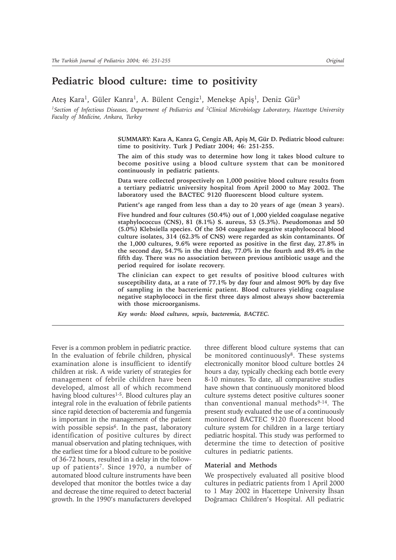# **Pediatric blood culture: time to positivity**

Ateş Kara<sup>1</sup>, Güler Kanra<sup>1</sup>, A. Bülent Cengiz<sup>1</sup>, Menekşe Apiş<sup>1</sup>, Deniz Gür<sup>3</sup>

*1Section of Infectious Diseases, Department of Pediatrics and 2Clinical Microbiology Laboratory, Hacettepe University Faculty of Medicine, Ankara, Turkey*

> SUMMARY: Kara A, Kanra G, Cengiz AB, Apiş M, Gür D. Pediatric blood culture: **time to positivity. Turk J Pediatr 2004; 46: 251-255.**

> **The aim of this study was to determine how long it takes blood culture to become positive using a blood culture system that can be monitored continuously in pediatric patients.**

> **Data were collected prospectively on 1,000 positive blood culture results from a tertiary pediatric university hospital from April 2000 to May 2002. The laboratory used the BACTEC 9120 fluorescent blood culture system.**

> **Patient's age ranged from less than a day to 20 years of age (mean 3 years).**

**Five hundred and four cultures (50.4%) out of 1,000 yielded coagulase negative staphylococcus (CNS), 81 (8.1%) S. aureus, 53 (5.3%). Pseudomonas and 50 (5.0%) Klebsiella species. Of the 504 coagulase negative staphylococcal blood culture isolates, 314 (62.3% of CNS) were regarded as skin contaminants. Of the 1,000 cultures, 9.6% were reported as positive in the first day, 27.8% in the second day, 54.7% in the third day, 77.0% in the fourth and 89.4% in the fifth day. There was no association between previous antibiotic usage and the period required for isolate recovery.**

**The clinician can expect to get results of positive blood cultures with susceptibility data, at a rate of 77.1% by day four and almost 90% by day five of sampling in the bacteriemic patient. Blood cultures yielding coagulase negative staphylococci in the first three days almost always show bacteremia with those microorganisms.**

*Key words: blood cultures, sepsis, bacteremia, BACTEC.*

Fever is a common problem in pediatric practice. In the evaluation of febrile children, physical examination alone is insufficient to identify children at risk. A wide variety of strategies for management of febrile children have been developed, almost all of which recommend having blood cultures<sup>1-5</sup>. Blood cultures play an integral role in the evaluation of febrile patients since rapid detection of bacteremia and fungemia is important in the management of the patient with possible sepsis<sup>6</sup>. In the past, laboratory identification of positive cultures by direct manual observation and plating techniques, with the earliest time for a blood culture to be positive of 36-72 hours, resulted in a delay in the followup of patients7. Since 1970, a number of automated blood culture instruments have been developed that monitor the bottles twice a day and decrease the time required to detect bacterial growth. In the 1990's manufacturers developed

three different blood culture systems that can be monitored continuously<sup>8</sup>. These systems electronically monitor blood culture bottles 24 hours a day, typically checking each bottle every 8-10 minutes. To date, all comparative studies have shown that continuously monitored blood culture systems detect positive cultures sooner than conventional manual methods<sup>9-14</sup>. The present study evaluated the use of a continuously monitored BACTEC 9120 fluorescent blood culture system for children in a large tertiary pediatric hospital. This study was performed to determine the time to detection of positive cultures in pediatric patients.

### **Material and Methods**

We prospectively evaluated all positive blood cultures in pediatric patients from 1 April 2000 to 1 May 2002 in Hacettepe University İhsan Doğramacı Children's Hospital. All pediatric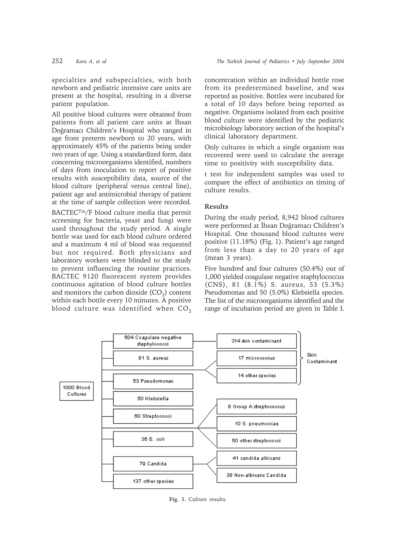specialties and subspecialties, with both newborn and pediatric intensive care units are present at the hospital, resulting in a diverse patient population.

All positive blood cultures were obtained from patients from all patient care units at İhsan Doğramacı Children's Hospital who ranged in age from preterm newborn to 20 years, with approximately 45% of the patients being under two years of age. Using a standardized form, data concerning microorganisms identified, numbers of days from inoculation to report of positive results with susceptibility data, source of the blood culture (peripheral versus central line), patient age and antimicrobial therapy of patient at the time of sample collection were recorded.

BACTECTm/F blood culture media that permit screening for bacteria, yeast and fungi were used throughout the study period. A single bottle was used for each blood culture ordered and a maximum 4 ml of blood was requested but not required. Both physicians and laboratory workers were blinded to the study to prevent influencing the routine practices. BACTEC 9120 fluorescent system provides continuous agitation of blood culture bottles and monitors the carbon dioxide  $(CO<sub>2</sub>)$  content within each bottle every 10 minutes. A positive blood culture was identified when  $CO<sub>2</sub>$  concentration within an individual bottle rose from its predetermined baseline, and was reported as positive. Bottles were incubated for a total of 10 days before being reported as negative. Organisms isolated from each positive blood culture were identified by the pediatric microbiology laboratory section of the hospital's clinical laboratory department.

Only cultures in which a single organism was recovered were used to calculate the average time to positivity with susceptibility data.

t test for independent samples was used to compare the effect of antibiotics on timing of culture results.

# **Results**

During the study period, 8,942 blood cultures were performed at İhsan Doğramacı Children's Hospital. One thousand blood cultures were positive (11.18%) (Fig. 1). Patient's age ranged from less than a day to 20 years of age (mean 3 years).

Five hundred and four cultures (50.4%) out of 1,000 yielded coagulase negative staphylococcus (CNS), 81 (8.1%) S. aureus, 53 (5.3%) Pseudomonas and 50 (5.0%) Klebsiella species. The list of the microorganisms identified and the range of incubation period are given in Table I.



**Fig. 1.** Culture results.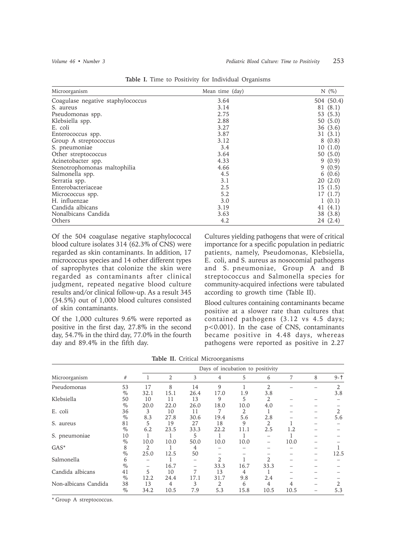| Microorganism                     | Mean time (day) | N(%)       |
|-----------------------------------|-----------------|------------|
| Coagulase negative staphylococcus | 3.64            | 504 (50.4) |
| S. aureus                         | 3.14            | 81 (8.1)   |
| Pseudomonas spp.                  | 2.75            | 53 $(5.3)$ |
| Klebsiella spp.                   | 2.88            | 50(5.0)    |
| E. coli                           | 3.27            | 36(3.6)    |
| Enterococcus spp.                 | 3.87            | 31(3.1)    |
| Group A streptococcus             | 3.12            | 8(0.8)     |
| S. pneumoniae                     | 3.4             | 10(1.0)    |
| Other streptococcus               | 3.64            | 50(5.0)    |
| Acinetobacter spp.                | 4.33            | (0.9)<br>9 |
| Stenotrophomonas maltophilia      | 4.66            | 9(0.9)     |
| Salmonella spp.                   | 4.5             | 6(0.6)     |
| Serratia spp.                     | 3.1             | 20(2.0)    |
| Enterobacteriaceae                | 2.5             | 15(1.5)    |
| Micrococcus spp.                  | 5.2             | 17(1.7)    |
| H. influenzae                     | 3.0             | 1(0.1)     |
| Candida albicans                  | 3.19            | 41 $(4.1)$ |
| Nonalbicans Candida               | 3.63            | 38(3.8)    |
| Others                            | 4.2             | 24 (2.4)   |

**Table I.** Time to Positivity for Individual Organisms

Of the 504 coagulase negative staphylococcal blood culture isolates 314 (62.3% of CNS) were regarded as skin contaminants. In addition, 17 micrococcus species and 14 other different types of saprophytes that colonize the skin were regarded as contaminants after clinical judgment, repeated negative blood culture results and/or clinical follow-up. As a result 345 (34.5%) out of 1,000 blood cultures consisted of skin contaminants.

Of the 1,000 cultures 9.6% were reported as positive in the first day, 27.8% in the second day, 54.7% in the third day, 77.0% in the fourth day and 89.4% in the fifth day.

Cultures yielding pathogens that were of critical importance for a specific population in pediatric patients, namely, Pseudomonas, Klebsiella, E. coli, and S. aureus as nosocomial pathogens and S. pneumoniae, Group A and B streptococcus and Salmonella species for community-acquired infections were tabulated according to growth time (Table II).

Blood cultures containing contaminants became positive at a slower rate than cultures that contained pathogens (3.12 vs 4.5 days; p<0.001). In the case of CNS, contaminants became positive in 4.48 days, whereas pathogens were reported as positive in 2.27

|                      |      | Days of incubation to positivity |      |      |      |      |                |                |   |      |
|----------------------|------|----------------------------------|------|------|------|------|----------------|----------------|---|------|
| Microorganism        | #    |                                  | 2    | 3    | 4    | 5    | 6              | $\overline{7}$ | 8 | $9-$ |
| Pseudomonas          | 53   | 17                               | 8    | 14   | 9    |      | $\mathfrak{D}$ |                |   | 2    |
|                      | $\%$ | 32.1                             | 15.1 | 26.4 | 17.0 | 1.9  | 3.8            |                |   | 3.8  |
| Klebsiella           | 50   | 10                               | 11   | 13   | 9    | 5    | 2              |                |   |      |
|                      | $\%$ | 20.0                             | 22.0 | 26.0 | 18.0 | 10.0 | 4.0            |                |   |      |
| E. coli              | 36   | 3                                | 10   | 11   |      | 2    |                |                |   | 2    |
|                      | $\%$ | 8.3                              | 27.8 | 30.6 | 19.4 | 5.6  | 2.8            |                |   | 5.6  |
| S. aureus            | 81   | 5                                | 19   | 27   | 18   | 9    | 2              |                |   |      |
|                      | $\%$ | 6.2                              | 23.5 | 33.3 | 22.2 | 11.1 | 2.5            | 1.2            |   |      |
| S. pneumoniae        | 10   |                                  |      | 5    |      |      |                |                |   |      |
|                      | $\%$ | 10.0                             | 10.0 | 50.0 | 10.0 | 10.0 |                | 10.0           |   |      |
| $GAS^*$              | 8    | 2                                |      | 4    |      |      |                |                |   |      |
|                      | $\%$ | 25.0                             | 12.5 | 50   |      |      |                |                |   | 12.5 |
| Salmonella           | 6    |                                  |      |      | 2.   |      |                |                |   |      |
|                      | $\%$ |                                  | 16.7 |      | 33.3 | 16.7 | 33.3           |                |   |      |
| Candida albicans     | 41   | 5                                | 10   | 7    | 13   | 4    |                |                |   |      |
|                      | $\%$ | 12.2                             | 24.4 | 17.1 | 31.7 | 9.8  | 2.4            |                |   |      |
| Non-albicans Candida | 38   | 13                               | 4    | 3    | 2    | 6    | 4              | 4              |   |      |
|                      | $\%$ | 34.2                             | 10.5 | 7.9  | 5.3  | 15.8 | 10.5           | 10.5           |   | 5.3  |

**Table II.** Critical Microorganisms

\* Group A streptococcus.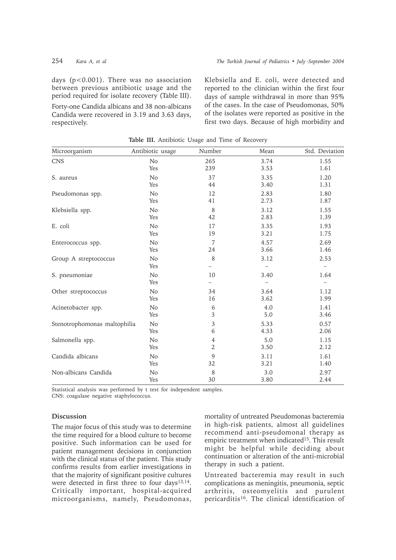days (p<0.001). There was no association between previous antibiotic usage and the period required for isolate recovery (Table III).

Forty-one Candida albicans and 38 non-albicans Candida were recovered in 3.19 and 3.63 days, respectively.

Klebsiella and E. coli, were detected and reported to the clinician within the first four days of sample withdrawal in more than 95% of the cases. In the case of Pseudomonas, 50% of the isolates were reported as positive in the first two days. Because of high morbidity and

| Microorganism                | Antibiotic usage | Number         | Mean | Std. Deviation                   |
|------------------------------|------------------|----------------|------|----------------------------------|
| <b>CNS</b>                   | N <sub>o</sub>   | 265            | 3.74 | 1.55                             |
|                              | Yes              | 239            | 3.53 | 1.61                             |
| S. aureus                    | No               | 37             | 3.35 | 1.20                             |
|                              | Yes              | 44             | 3.40 | 1.31                             |
| Pseudomonas spp.             | No               | 12             | 2.83 | 1.80                             |
|                              | Yes              | 41             | 2.73 | 1.87                             |
| Klebsiella spp.              | No               | $\,8\,$        | 3.12 | 1.55                             |
|                              | Yes              | 42             | 2.83 | 1.39                             |
| E. coli                      | No               | 17             | 3.35 | 1.93                             |
|                              | Yes              | 19             | 3.21 | 1.75                             |
| Enterococcus spp.            | No               | 7              | 4.57 | 2.69                             |
|                              | Yes              | 24             | 3.66 | 1.46                             |
| Group A streptococcus        | No<br>Yes        | 8              | 3.12 | 2.53<br>$\overline{\phantom{m}}$ |
| S. pneumoniae                | No<br>Yes        | 10             | 3.40 | 1.64<br>$\overline{\phantom{m}}$ |
| Other streptococcus          | No               | 34             | 3.64 | 1.12                             |
|                              | Yes              | 16             | 3.62 | 1.99                             |
| Acinetobacter spp.           | No               | 6              | 4.0  | 1.41                             |
|                              | Yes              | 3              | 5.0  | 3.46                             |
| Stenotrophomonas maltophilia | No               | $\overline{3}$ | 5.33 | 0.57                             |
|                              | Yes              | 6              | 4.33 | 2.06                             |
| Salmonella spp.              | N <sub>o</sub>   | 4              | 5.0  | 1.15                             |
|                              | Yes              | $\overline{2}$ | 3.50 | 2.12                             |
| Candida albicans             | No               | 9              | 3.11 | 1.61                             |
|                              | Yes              | 32             | 3.21 | 1.40                             |
| Non-albicans Candida         | No               | $\,8\,$        | 3.0  | 2.97                             |
|                              | Yes              | 30             | 3.80 | 2.44                             |

**Table III.** Antibiotic Usage and Time of Recovery

Statistical analysis was performed by t test for independent samples. CNS: coagulase negative staphylococcus.

## **Discussion**

The major focus of this study was to determine the time required for a blood culture to become positive. Such information can be used for patient management decisions in conjunction with the clinical status of the patient. This study confirms results from earlier investigations in that the majority of significant positive cultures were detected in first three to four days<sup>13,14</sup>. Critically important, hospital-acquired microorganisms, namely, Pseudomonas,

mortality of untreated Pseudomonas bacteremia in high-risk patients, almost all guidelines recommend anti-pseudomonal therapy as empiric treatment when indicated<sup>15</sup>. This result might be helpful while deciding about continuation or alteration of the anti-microbial therapy in such a patient.

Untreated bacteremia may result in such complications as meningitis, pneumonia, septic arthritis, osteomyelitis and purulent pericarditis<sup>16</sup>. The clinical identification of